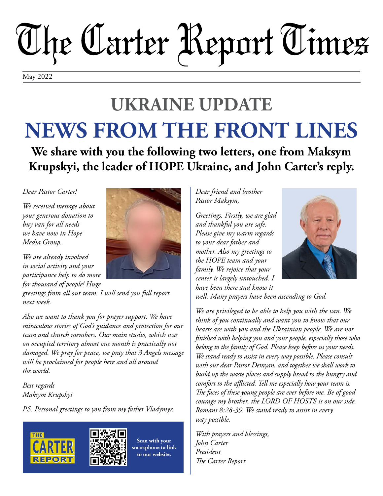The Carter Report Timez

May 2022

# **UKRAINE UPDATE NEWS FROM THE FRONT LINES**

**We share with you the following two letters, one from Maksym Krupskyi, the leader of HOPE Ukraine, and John Carter's reply.**

*Dear Pastor Carter!*

*We received message about your generous donation to buy van for all needs we have now in Hope Media Group.* 

*We are already involved in social activity and your participance help to do more for thousand of people! Huge* 

*greetings from all our team. I will send you full report next week.*

*Also we want to thank you for prayer support. We have miraculous stories of God's guidance and protection for our team and church members. Our main studio, which was on occupied territory almost one month is practically not damaged. We pray for peace, we pray that 3 Angels message will be proclaimed for people here and all around the world.* 

*Best regards Maksym Krupskyi* 

*P.S. Personal greetings to you from my father Vladymyr.*





**Scan with your smartphone to link to our website.**

*Dear friend and brother Pastor Maksym,*

*Greetings. Firstly, we are glad and thankful you are safe. Please give my warm regards to your dear father and mother. Also my greetings to the HOPE team and your family. We rejoice that your center is largely untouched. I have been there and know it* 



*well. Many prayers have been ascending to God.*

*We are privileged to be able to help you with the van. We think of you continually and want you to know that our hearts are with you and the Ukrainian people. We are not finished with helping you and your people, especially those who belong to the family of God. Please keep before us your needs. We stand ready to assist in every way possible. Please consult with our dear Pastor Demyan, and together we shall work to build up the waste places and supply bread to the hungry and comfort to the afflicted. Tell me especially how your team is. The faces of these young people are ever before me. Be of good courage my brother, the LORD OF HOSTS is on our side. Romans 8:28-39. We stand ready to assist in every way possible.*

*With prayers and blessings, John Carter President The Carter Report*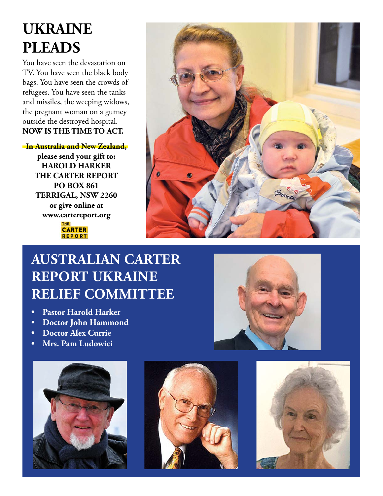## **UKRAINE PLEADS**

You have seen the devastation on TV. You have seen the black body bags. You have seen the crowds of refugees. You have seen the tanks and missiles, the weeping widows, the pregnant woman on a gurney outside the destroyed hospital. **NOW IS THE TIME TO ACT.**

**In Australia and New Zealand,** 

**please send your gift to: HAROLD HARKER THE CARTER REPORT PO Box 861 Terrigal, NSW 2260 or give online at www.cartereport.org**





### **Australian Carter Report Ukraine Relief Committee**

- **• Pastor Harold Harker**
- **• Doctor John Hammond**
- **• Doctor Alex Currie**
- **• Mrs. Pam Ludowici**







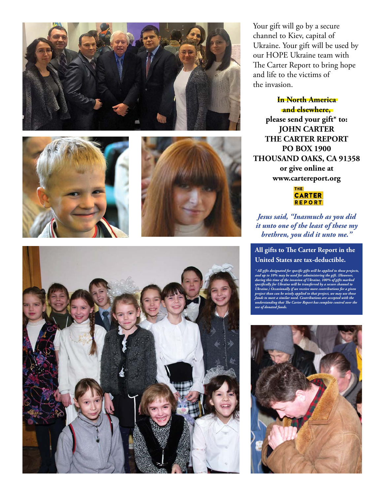







Your gift will go by a secure channel to Kiev, capital of Ukraine. Your gift will be used by our HOPE Ukraine team with The Carter Report to bring hope and life to the victims of the invasion.

> **In North America and elsewhere,**

**please send your gift\* to: JOHN CARTER THE CARTER REPORT PO BOX 1900 THOUSAND OAKS, CA 91358 or give online at www.cartereport.org**



*Jesus said, "Inasmuch as you did it unto one of the least of these my brethren, you did it unto me."*

#### **All gifts to The Carter Report in the United States are tax-deductible.**

\* All gifts designated for specific gifts will be applied to those projects,<br>and up to 10% may be used for administering the gift. (However,<br>during this time of the invasion of Ukraine, 100% of gifts marked<br>specifically fo Ukraine.) Occasionally if we receive more contributions for a given<br>project than can be wisely applied to that project, we may use those<br>funds to meet a similar need. Contributions are accepted with the<br>understanding that